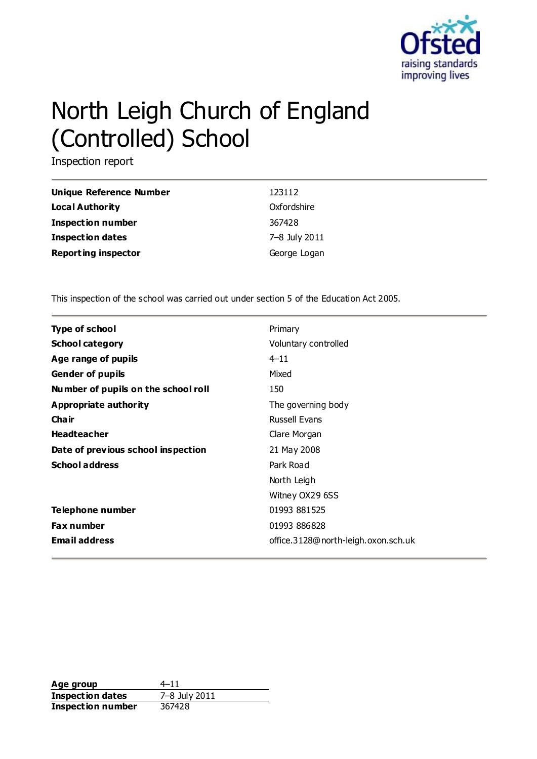

# North Leigh Church of England (Controlled) School

Inspection report

| Unique Reference Number    | 123112        |
|----------------------------|---------------|
| <b>Local Authority</b>     | Oxfordshire   |
| <b>Inspection number</b>   | 367428        |
| <b>Inspection dates</b>    | 7–8 July 2011 |
| <b>Reporting inspector</b> | George Logan  |

This inspection of the school was carried out under section 5 of the Education Act 2005.

| <b>Type of school</b>               | Primary                             |
|-------------------------------------|-------------------------------------|
| <b>School category</b>              | Voluntary controlled                |
| Age range of pupils                 | $4 - 11$                            |
| <b>Gender of pupils</b>             | Mixed                               |
| Number of pupils on the school roll | 150                                 |
| Appropriate authority               | The governing body                  |
| Cha ir                              | <b>Russell Evans</b>                |
| <b>Headteacher</b>                  | Clare Morgan                        |
| Date of previous school inspection  | 21 May 2008                         |
| <b>School address</b>               | Park Road                           |
|                                     | North Leigh                         |
|                                     | Witney OX29 6SS                     |
| Telephone number                    | 01993 881525                        |
| <b>Fax number</b>                   | 01993 886828                        |
| <b>Email address</b>                | office.3128@north-leigh.oxon.sch.uk |

Age group  $4-11$ **Inspection dates** 7–8 July 2011 **Inspection number** 367428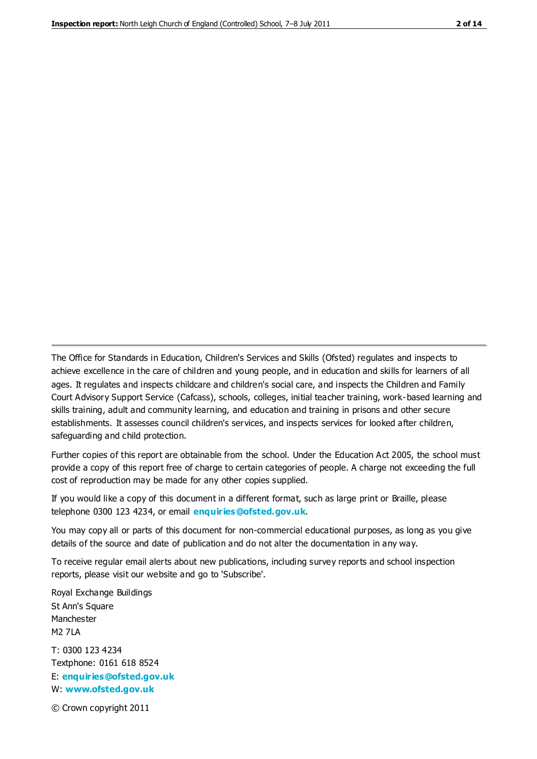The Office for Standards in Education, Children's Services and Skills (Ofsted) regulates and inspects to achieve excellence in the care of children and young people, and in education and skills for learners of all ages. It regulates and inspects childcare and children's social care, and inspects the Children and Family Court Advisory Support Service (Cafcass), schools, colleges, initial teacher training, work-based learning and skills training, adult and community learning, and education and training in prisons and other secure establishments. It assesses council children's services, and inspects services for looked after children, safeguarding and child protection.

Further copies of this report are obtainable from the school. Under the Education Act 2005, the school must provide a copy of this report free of charge to certain categories of people. A charge not exceeding the full cost of reproduction may be made for any other copies supplied.

If you would like a copy of this document in a different format, such as large print or Braille, please telephone 0300 123 4234, or email **[enquiries@ofsted.gov.uk](mailto:enquiries@ofsted.gov.uk)**.

You may copy all or parts of this document for non-commercial educational purposes, as long as you give details of the source and date of publication and do not alter the documentation in any way.

To receive regular email alerts about new publications, including survey reports and school inspection reports, please visit our website and go to 'Subscribe'.

Royal Exchange Buildings St Ann's Square Manchester M2 7LA T: 0300 123 4234 Textphone: 0161 618 8524 E: **[enquiries@ofsted.gov.uk](mailto:enquiries@ofsted.gov.uk)**

W: **[www.ofsted.gov.uk](http://www.ofsted.gov.uk/)**

© Crown copyright 2011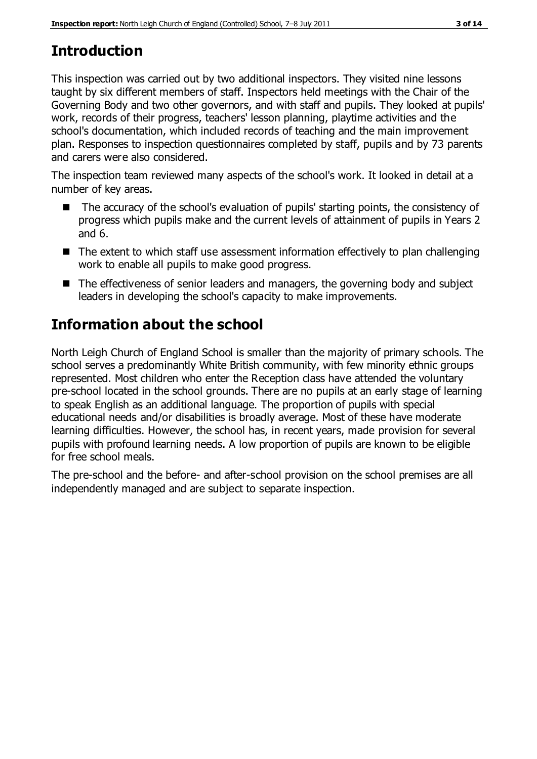## **Introduction**

This inspection was carried out by two additional inspectors. They visited nine lessons taught by six different members of staff. Inspectors held meetings with the Chair of the Governing Body and two other governors, and with staff and pupils. They looked at pupils' work, records of their progress, teachers' lesson planning, playtime activities and the school's documentation, which included records of teaching and the main improvement plan. Responses to inspection questionnaires completed by staff, pupils and by 73 parents and carers were also considered.

The inspection team reviewed many aspects of the school's work. It looked in detail at a number of key areas.

- The accuracy of the school's evaluation of pupils' starting points, the consistency of progress which pupils make and the current levels of attainment of pupils in Years 2 and 6.
- The extent to which staff use assessment information effectively to plan challenging work to enable all pupils to make good progress.
- The effectiveness of senior leaders and managers, the governing body and subject leaders in developing the school's capacity to make improvements.

## **Information about the school**

North Leigh Church of England School is smaller than the majority of primary schools. The school serves a predominantly White British community, with few minority ethnic groups represented. Most children who enter the Reception class have attended the voluntary pre-school located in the school grounds. There are no pupils at an early stage of learning to speak English as an additional language. The proportion of pupils with special educational needs and/or disabilities is broadly average. Most of these have moderate learning difficulties. However, the school has, in recent years, made provision for several pupils with profound learning needs. A low proportion of pupils are known to be eligible for free school meals.

The pre-school and the before- and after-school provision on the school premises are all independently managed and are subject to separate inspection.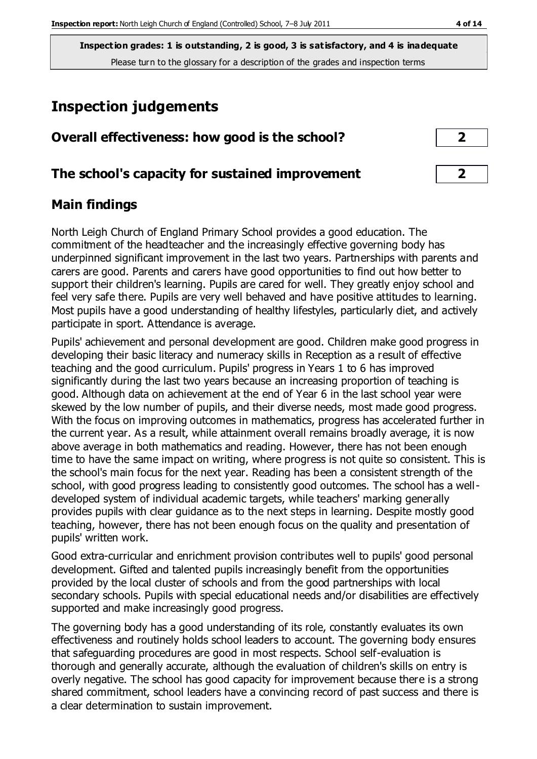## **Inspection judgements**

| Overall effectiveness: how good is the school? |  |
|------------------------------------------------|--|
|------------------------------------------------|--|

## **The school's capacity for sustained improvement 2**

## **Main findings**

North Leigh Church of England Primary School provides a good education. The commitment of the headteacher and the increasingly effective governing body has underpinned significant improvement in the last two years. Partnerships with parents and carers are good. Parents and carers have good opportunities to find out how better to support their children's learning. Pupils are cared for well. They greatly enjoy school and feel very safe there. Pupils are very well behaved and have positive attitudes to learning. Most pupils have a good understanding of healthy lifestyles, particularly diet, and actively participate in sport. Attendance is average.

Pupils' achievement and personal development are good. Children make good progress in developing their basic literacy and numeracy skills in Reception as a result of effective teaching and the good curriculum. Pupils' progress in Years 1 to 6 has improved significantly during the last two years because an increasing proportion of teaching is good. Although data on achievement at the end of Year 6 in the last school year were skewed by the low number of pupils, and their diverse needs, most made good progress. With the focus on improving outcomes in mathematics, progress has accelerated further in the current year. As a result, while attainment overall remains broadly average, it is now above average in both mathematics and reading. However, there has not been enough time to have the same impact on writing, where progress is not quite so consistent. This is the school's main focus for the next year. Reading has been a consistent strength of the school, with good progress leading to consistently good outcomes. The school has a welldeveloped system of individual academic targets, while teachers' marking generally provides pupils with clear guidance as to the next steps in learning. Despite mostly good teaching, however, there has not been enough focus on the quality and presentation of pupils' written work.

Good extra-curricular and enrichment provision contributes well to pupils' good personal development. Gifted and talented pupils increasingly benefit from the opportunities provided by the local cluster of schools and from the good partnerships with local secondary schools. Pupils with special educational needs and/or disabilities are effectively supported and make increasingly good progress.

The governing body has a good understanding of its role, constantly evaluates its own effectiveness and routinely holds school leaders to account. The governing body ensures that safeguarding procedures are good in most respects. School self-evaluation is thorough and generally accurate, although the evaluation of children's skills on entry is overly negative. The school has good capacity for improvement because there is a strong shared commitment, school leaders have a convincing record of past success and there is a clear determination to sustain improvement.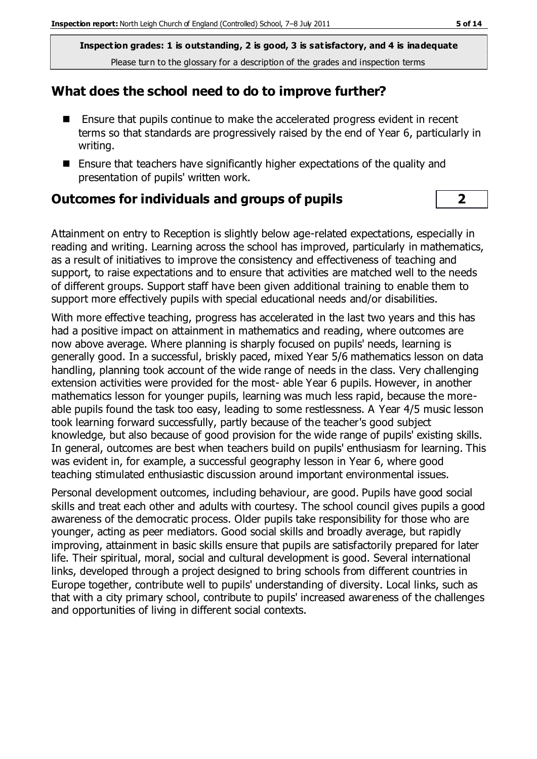#### **What does the school need to do to improve further?**

- Ensure that pupils continue to make the accelerated progress evident in recent terms so that standards are progressively raised by the end of Year 6, particularly in writing.
- Ensure that teachers have significantly higher expectations of the quality and presentation of pupils' written work.

#### **Outcomes for individuals and groups of pupils 2**

Attainment on entry to Reception is slightly below age-related expectations, especially in reading and writing. Learning across the school has improved, particularly in mathematics, as a result of initiatives to improve the consistency and effectiveness of teaching and support, to raise expectations and to ensure that activities are matched well to the needs of different groups. Support staff have been given additional training to enable them to support more effectively pupils with special educational needs and/or disabilities.

With more effective teaching, progress has accelerated in the last two years and this has had a positive impact on attainment in mathematics and reading, where outcomes are now above average. Where planning is sharply focused on pupils' needs, learning is generally good. In a successful, briskly paced, mixed Year 5/6 mathematics lesson on data handling, planning took account of the wide range of needs in the class. Very challenging extension activities were provided for the most- able Year 6 pupils. However, in another mathematics lesson for younger pupils, learning was much less rapid, because the moreable pupils found the task too easy, leading to some restlessness. A Year 4/5 music lesson took learning forward successfully, partly because of the teacher's good subject knowledge, but also because of good provision for the wide range of pupils' existing skills. In general, outcomes are best when teachers build on pupils' enthusiasm for learning. This was evident in, for example, a successful geography lesson in Year 6, where good teaching stimulated enthusiastic discussion around important environmental issues.

Personal development outcomes, including behaviour, are good. Pupils have good social skills and treat each other and adults with courtesy. The school council gives pupils a good awareness of the democratic process. Older pupils take responsibility for those who are younger, acting as peer mediators. Good social skills and broadly average, but rapidly improving, attainment in basic skills ensure that pupils are satisfactorily prepared for later life. Their spiritual, moral, social and cultural development is good. Several international links, developed through a project designed to bring schools from different countries in Europe together, contribute well to pupils' understanding of diversity. Local links, such as that with a city primary school, contribute to pupils' increased awareness of the challenges and opportunities of living in different social contexts.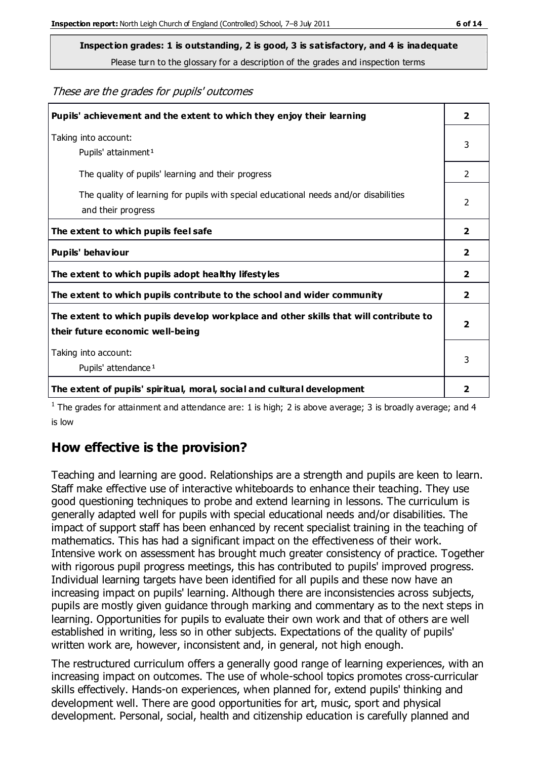**Inspection grades: 1 is outstanding, 2 is good, 3 is satisfactory, and 4 is inadequate**

Please turn to the glossary for a description of the grades and inspection terms

These are the grades for pupils' outcomes

| Pupils' achievement and the extent to which they enjoy their learning                                                     | $\overline{\mathbf{2}}$ |
|---------------------------------------------------------------------------------------------------------------------------|-------------------------|
| Taking into account:<br>Pupils' attainment <sup>1</sup>                                                                   | 3                       |
| The quality of pupils' learning and their progress                                                                        | $\mathcal{P}$           |
| The quality of learning for pupils with special educational needs and/or disabilities<br>and their progress               | $\mathcal{P}$           |
| The extent to which pupils feel safe                                                                                      | 2                       |
| Pupils' behaviour                                                                                                         | $\overline{2}$          |
| The extent to which pupils adopt healthy lifestyles                                                                       | 2                       |
| The extent to which pupils contribute to the school and wider community                                                   | 2                       |
| The extent to which pupils develop workplace and other skills that will contribute to<br>their future economic well-being |                         |
| Taking into account:<br>Pupils' attendance <sup>1</sup>                                                                   | 3                       |
| The extent of pupils' spiritual, moral, social and cultural development                                                   | 2                       |

<sup>1</sup> The grades for attainment and attendance are: 1 is high; 2 is above average; 3 is broadly average; and 4 is low

## **How effective is the provision?**

Teaching and learning are good. Relationships are a strength and pupils are keen to learn. Staff make effective use of interactive whiteboards to enhance their teaching. They use good questioning techniques to probe and extend learning in lessons. The curriculum is generally adapted well for pupils with special educational needs and/or disabilities. The impact of support staff has been enhanced by recent specialist training in the teaching of mathematics. This has had a significant impact on the effectiveness of their work. Intensive work on assessment has brought much greater consistency of practice. Together with rigorous pupil progress meetings, this has contributed to pupils' improved progress. Individual learning targets have been identified for all pupils and these now have an increasing impact on pupils' learning. Although there are inconsistencies across subjects, pupils are mostly given guidance through marking and commentary as to the next steps in learning. Opportunities for pupils to evaluate their own work and that of others are well established in writing, less so in other subjects. Expectations of the quality of pupils' written work are, however, inconsistent and, in general, not high enough.

The restructured curriculum offers a generally good range of learning experiences, with an increasing impact on outcomes. The use of whole-school topics promotes cross-curricular skills effectively. Hands-on experiences, when planned for, extend pupils' thinking and development well. There are good opportunities for art, music, sport and physical development. Personal, social, health and citizenship education is carefully planned and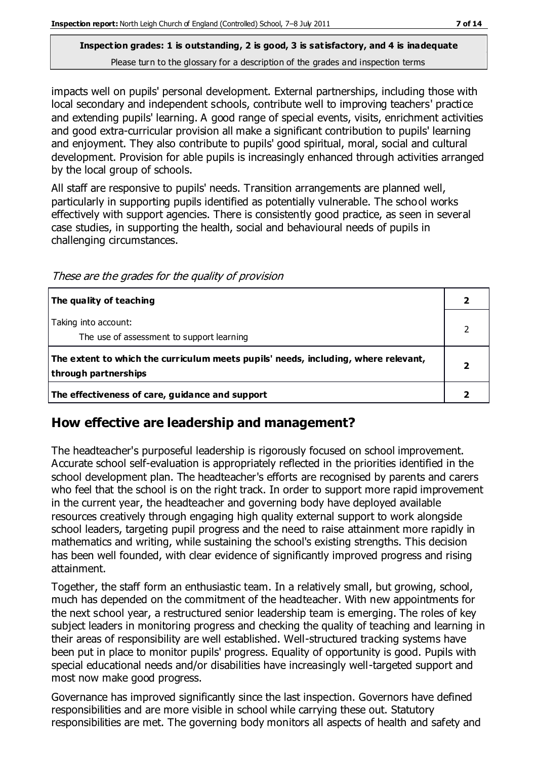## **Inspection grades: 1 is outstanding, 2 is good, 3 is satisfactory, and 4 is inadequate**

Please turn to the glossary for a description of the grades and inspection terms

impacts well on pupils' personal development. External partnerships, including those with local secondary and independent schools, contribute well to improving teachers' practice and extending pupils' learning. A good range of special events, visits, enrichment activities and good extra-curricular provision all make a significant contribution to pupils' learning and enjoyment. They also contribute to pupils' good spiritual, moral, social and cultural development. Provision for able pupils is increasingly enhanced through activities arranged by the local group of schools.

All staff are responsive to pupils' needs. Transition arrangements are planned well, particularly in supporting pupils identified as potentially vulnerable. The school works effectively with support agencies. There is consistently good practice, as seen in several case studies, in supporting the health, social and behavioural needs of pupils in challenging circumstances.

These are the grades for the quality of provision

| The quality of teaching                                                                                    |  |
|------------------------------------------------------------------------------------------------------------|--|
| Taking into account:<br>The use of assessment to support learning                                          |  |
| The extent to which the curriculum meets pupils' needs, including, where relevant,<br>through partnerships |  |
| The effectiveness of care, guidance and support                                                            |  |

## **How effective are leadership and management?**

The headteacher's purposeful leadership is rigorously focused on school improvement. Accurate school self-evaluation is appropriately reflected in the priorities identified in the school development plan. The headteacher's efforts are recognised by parents and carers who feel that the school is on the right track. In order to support more rapid improvement in the current year, the headteacher and governing body have deployed available resources creatively through engaging high quality external support to work alongside school leaders, targeting pupil progress and the need to raise attainment more rapidly in mathematics and writing, while sustaining the school's existing strengths. This decision has been well founded, with clear evidence of significantly improved progress and rising attainment.

Together, the staff form an enthusiastic team. In a relatively small, but growing, school, much has depended on the commitment of the headteacher. With new appointments for the next school year, a restructured senior leadership team is emerging. The roles of key subject leaders in monitoring progress and checking the quality of teaching and learning in their areas of responsibility are well established. Well-structured tracking systems have been put in place to monitor pupils' progress. Equality of opportunity is good. Pupils with special educational needs and/or disabilities have increasingly well-targeted support and most now make good progress.

Governance has improved significantly since the last inspection. Governors have defined responsibilities and are more visible in school while carrying these out. Statutory responsibilities are met. The governing body monitors all aspects of health and safety and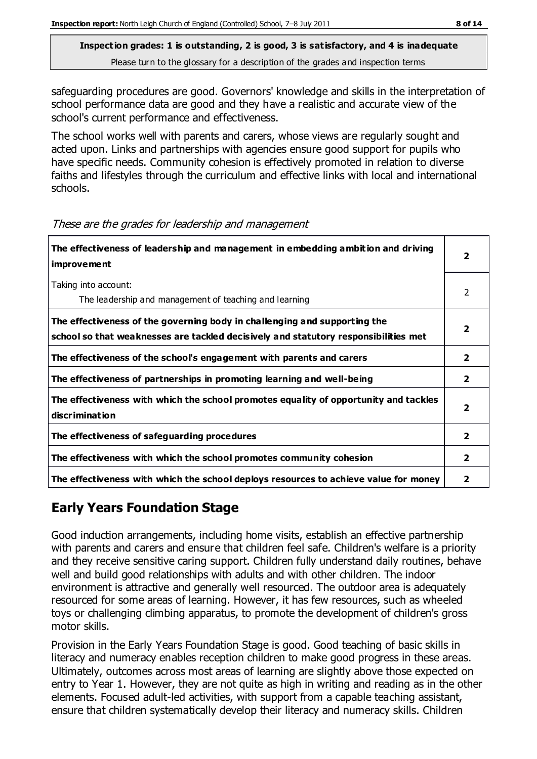safeguarding procedures are good. Governors' knowledge and skills in the interpretation of school performance data are good and they have a realistic and accurate view of the school's current performance and effectiveness.

The school works well with parents and carers, whose views are regularly sought and acted upon. Links and partnerships with agencies ensure good support for pupils who have specific needs. Community cohesion is effectively promoted in relation to diverse faiths and lifestyles through the curriculum and effective links with local and international schools.

| The effectiveness of leadership and management in embedding ambition and driving<br><i>improvement</i>                                                           |                         |
|------------------------------------------------------------------------------------------------------------------------------------------------------------------|-------------------------|
| Taking into account:<br>The leadership and management of teaching and learning                                                                                   | 2                       |
| The effectiveness of the governing body in challenging and supporting the<br>school so that weaknesses are tackled decisively and statutory responsibilities met | $\overline{\mathbf{2}}$ |
| The effectiveness of the school's engagement with parents and carers                                                                                             | $\mathbf{2}$            |
| The effectiveness of partnerships in promoting learning and well-being                                                                                           | $\mathbf{2}$            |
| The effectiveness with which the school promotes equality of opportunity and tackles<br>discrimination                                                           | $\overline{\mathbf{2}}$ |
| The effectiveness of safeguarding procedures                                                                                                                     | $\overline{2}$          |
| The effectiveness with which the school promotes community cohesion                                                                                              | $\mathbf{2}$            |
| The effectiveness with which the school deploys resources to achieve value for money                                                                             | 2                       |

These are the grades for leadership and management

## **Early Years Foundation Stage**

Good induction arrangements, including home visits, establish an effective partnership with parents and carers and ensure that children feel safe. Children's welfare is a priority and they receive sensitive caring support. Children fully understand daily routines, behave well and build good relationships with adults and with other children. The indoor environment is attractive and generally well resourced. The outdoor area is adequately resourced for some areas of learning. However, it has few resources, such as wheeled toys or challenging climbing apparatus, to promote the development of children's gross motor skills.

Provision in the Early Years Foundation Stage is good. Good teaching of basic skills in literacy and numeracy enables reception children to make good progress in these areas. Ultimately, outcomes across most areas of learning are slightly above those expected on entry to Year 1. However, they are not quite as high in writing and reading as in the other elements. Focused adult-led activities, with support from a capable teaching assistant, ensure that children systematically develop their literacy and numeracy skills. Children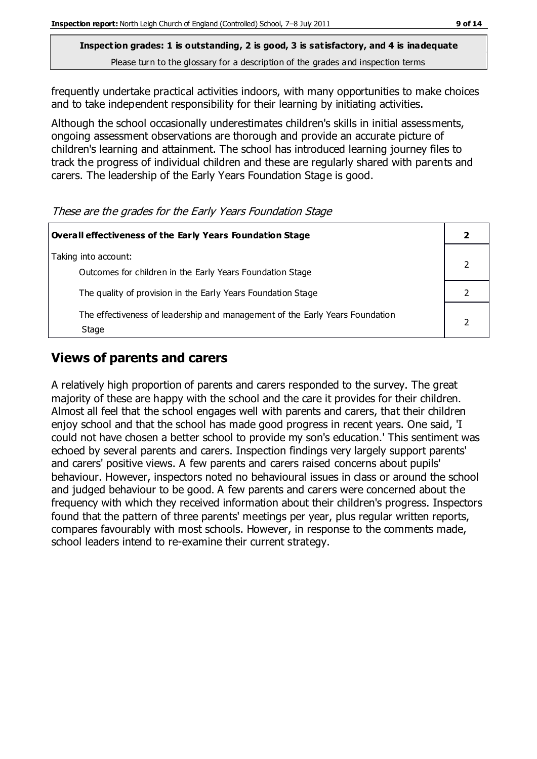frequently undertake practical activities indoors, with many opportunities to make choices and to take independent responsibility for their learning by initiating activities.

Although the school occasionally underestimates children's skills in initial assessments, ongoing assessment observations are thorough and provide an accurate picture of children's learning and attainment. The school has introduced learning journey files to track the progress of individual children and these are regularly shared with parents and carers. The leadership of the Early Years Foundation Stage is good.

These are the grades for the Early Years Foundation Stage

| Overall effectiveness of the Early Years Foundation Stage                             |  |
|---------------------------------------------------------------------------------------|--|
| Taking into account:<br>Outcomes for children in the Early Years Foundation Stage     |  |
| The quality of provision in the Early Years Foundation Stage                          |  |
| The effectiveness of leadership and management of the Early Years Foundation<br>Stage |  |

## **Views of parents and carers**

A relatively high proportion of parents and carers responded to the survey. The great majority of these are happy with the school and the care it provides for their children. Almost all feel that the school engages well with parents and carers, that their children enjoy school and that the school has made good progress in recent years. One said, 'I could not have chosen a better school to provide my son's education.' This sentiment was echoed by several parents and carers. Inspection findings very largely support parents' and carers' positive views. A few parents and carers raised concerns about pupils' behaviour. However, inspectors noted no behavioural issues in class or around the school and judged behaviour to be good. A few parents and carers were concerned about the frequency with which they received information about their children's progress. Inspectors found that the pattern of three parents' meetings per year, plus regular written reports, compares favourably with most schools. However, in response to the comments made, school leaders intend to re-examine their current strategy.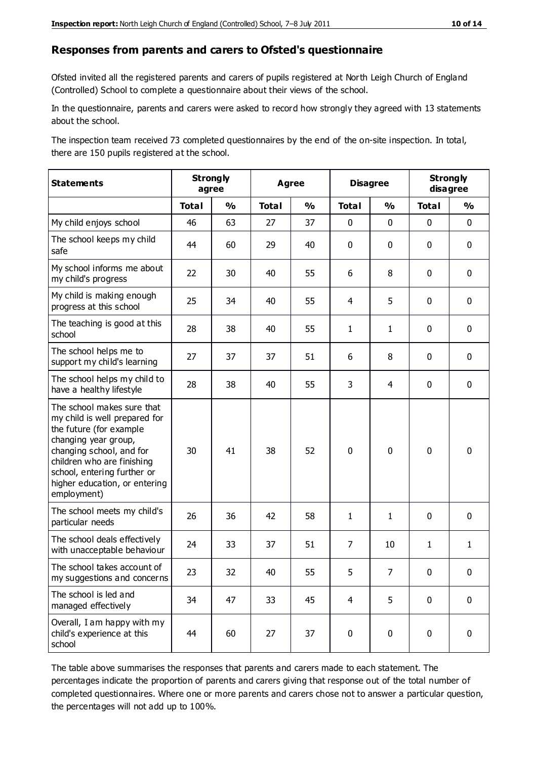#### **Responses from parents and carers to Ofsted's questionnaire**

Ofsted invited all the registered parents and carers of pupils registered at North Leigh Church of England (Controlled) School to complete a questionnaire about their views of the school.

In the questionnaire, parents and carers were asked to record how strongly they agreed with 13 statements about the school.

The inspection team received 73 completed questionnaires by the end of the on-site inspection. In total, there are 150 pupils registered at the school.

| <b>Statements</b>                                                                                                                                                                                                                                       | <b>Strongly</b><br>agree |               | Agree        |               | <b>Disagree</b> |                | <b>Strongly</b><br>disagree |               |
|---------------------------------------------------------------------------------------------------------------------------------------------------------------------------------------------------------------------------------------------------------|--------------------------|---------------|--------------|---------------|-----------------|----------------|-----------------------------|---------------|
|                                                                                                                                                                                                                                                         | <b>Total</b>             | $\frac{1}{2}$ | <b>Total</b> | $\frac{1}{2}$ | <b>Total</b>    | $\frac{0}{0}$  | <b>Total</b>                | $\frac{0}{0}$ |
| My child enjoys school                                                                                                                                                                                                                                  | 46                       | 63            | 27           | 37            | 0               | $\mathbf 0$    | $\mathbf 0$                 | $\mathbf 0$   |
| The school keeps my child<br>safe                                                                                                                                                                                                                       | 44                       | 60            | 29           | 40            | 0               | $\mathbf 0$    | $\mathbf 0$                 | $\mathbf 0$   |
| My school informs me about<br>my child's progress                                                                                                                                                                                                       | 22                       | 30            | 40           | 55            | 6               | 8              | $\mathbf 0$                 | $\mathbf 0$   |
| My child is making enough<br>progress at this school                                                                                                                                                                                                    | 25                       | 34            | 40           | 55            | 4               | 5              | $\mathbf 0$                 | $\mathbf 0$   |
| The teaching is good at this<br>school                                                                                                                                                                                                                  | 28                       | 38            | 40           | 55            | $\mathbf{1}$    | $\mathbf{1}$   | 0                           | $\mathbf 0$   |
| The school helps me to<br>support my child's learning                                                                                                                                                                                                   | 27                       | 37            | 37           | 51            | 6               | 8              | $\mathbf 0$                 | $\mathbf 0$   |
| The school helps my child to<br>have a healthy lifestyle                                                                                                                                                                                                | 28                       | 38            | 40           | 55            | 3               | $\overline{4}$ | $\mathbf 0$                 | $\mathbf 0$   |
| The school makes sure that<br>my child is well prepared for<br>the future (for example<br>changing year group,<br>changing school, and for<br>children who are finishing<br>school, entering further or<br>higher education, or entering<br>employment) | 30                       | 41            | 38           | 52            | $\mathbf 0$     | $\mathbf 0$    | $\mathbf 0$                 | $\mathbf 0$   |
| The school meets my child's<br>particular needs                                                                                                                                                                                                         | 26                       | 36            | 42           | 58            | $\mathbf{1}$    | $\mathbf{1}$   | $\mathbf 0$                 | $\mathbf 0$   |
| The school deals effectively<br>with unacceptable behaviour                                                                                                                                                                                             | 24                       | 33            | 37           | 51            | $\overline{7}$  | 10             | $\mathbf{1}$                | $\mathbf{1}$  |
| The school takes account of<br>my suggestions and concerns                                                                                                                                                                                              | 23                       | 32            | 40           | 55            | 5               | $\overline{7}$ | $\mathbf 0$                 | $\mathbf{0}$  |
| The school is led and<br>managed effectively                                                                                                                                                                                                            | 34                       | 47            | 33           | 45            | $\overline{4}$  | 5              | $\mathbf 0$                 | $\mathbf 0$   |
| Overall, I am happy with my<br>child's experience at this<br>school                                                                                                                                                                                     | 44                       | 60            | 27           | 37            | $\pmb{0}$       | $\mathbf 0$    | $\mathbf 0$                 | $\pmb{0}$     |

The table above summarises the responses that parents and carers made to each statement. The percentages indicate the proportion of parents and carers giving that response out of the total number of completed questionnaires. Where one or more parents and carers chose not to answer a particular question, the percentages will not add up to 100%.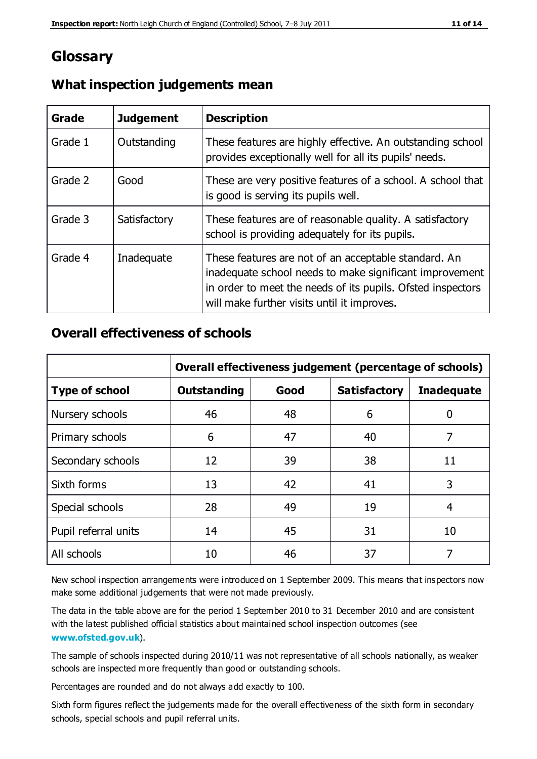## **Glossary**

| Grade   | <b>Judgement</b> | <b>Description</b>                                                                                                                                                                                                            |
|---------|------------------|-------------------------------------------------------------------------------------------------------------------------------------------------------------------------------------------------------------------------------|
| Grade 1 | Outstanding      | These features are highly effective. An outstanding school<br>provides exceptionally well for all its pupils' needs.                                                                                                          |
| Grade 2 | Good             | These are very positive features of a school. A school that<br>is good is serving its pupils well.                                                                                                                            |
| Grade 3 | Satisfactory     | These features are of reasonable quality. A satisfactory<br>school is providing adequately for its pupils.                                                                                                                    |
| Grade 4 | Inadequate       | These features are not of an acceptable standard. An<br>inadequate school needs to make significant improvement<br>in order to meet the needs of its pupils. Ofsted inspectors<br>will make further visits until it improves. |

## **What inspection judgements mean**

## **Overall effectiveness of schools**

|                       | Overall effectiveness judgement (percentage of schools) |      |                     |                   |
|-----------------------|---------------------------------------------------------|------|---------------------|-------------------|
| <b>Type of school</b> | <b>Outstanding</b>                                      | Good | <b>Satisfactory</b> | <b>Inadequate</b> |
| Nursery schools       | 46                                                      | 48   | 6                   |                   |
| Primary schools       | 6                                                       | 47   | 40                  | 7                 |
| Secondary schools     | 12                                                      | 39   | 38                  | 11                |
| Sixth forms           | 13                                                      | 42   | 41                  | 3                 |
| Special schools       | 28                                                      | 49   | 19                  | 4                 |
| Pupil referral units  | 14                                                      | 45   | 31                  | 10                |
| All schools           | 10                                                      | 46   | 37                  |                   |

New school inspection arrangements were introduced on 1 September 2009. This means that inspectors now make some additional judgements that were not made previously.

The data in the table above are for the period 1 September 2010 to 31 December 2010 and are consistent with the latest published official statistics about maintained school inspection outcomes (see **[www.ofsted.gov.uk](http://www.ofsted.gov.uk/)**).

The sample of schools inspected during 2010/11 was not representative of all schools nationally, as weaker schools are inspected more frequently than good or outstanding schools.

Percentages are rounded and do not always add exactly to 100.

Sixth form figures reflect the judgements made for the overall effectiveness of the sixth form in secondary schools, special schools and pupil referral units.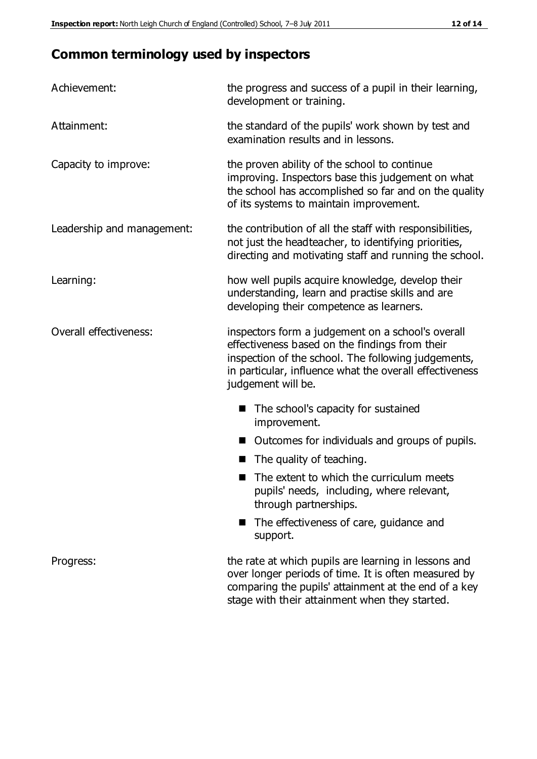## **Common terminology used by inspectors**

| Achievement:               | the progress and success of a pupil in their learning,<br>development or training.                                                                                                                                                          |
|----------------------------|---------------------------------------------------------------------------------------------------------------------------------------------------------------------------------------------------------------------------------------------|
| Attainment:                | the standard of the pupils' work shown by test and<br>examination results and in lessons.                                                                                                                                                   |
| Capacity to improve:       | the proven ability of the school to continue<br>improving. Inspectors base this judgement on what<br>the school has accomplished so far and on the quality<br>of its systems to maintain improvement.                                       |
| Leadership and management: | the contribution of all the staff with responsibilities,<br>not just the headteacher, to identifying priorities,<br>directing and motivating staff and running the school.                                                                  |
| Learning:                  | how well pupils acquire knowledge, develop their<br>understanding, learn and practise skills and are<br>developing their competence as learners.                                                                                            |
| Overall effectiveness:     | inspectors form a judgement on a school's overall<br>effectiveness based on the findings from their<br>inspection of the school. The following judgements,<br>in particular, influence what the overall effectiveness<br>judgement will be. |
|                            | The school's capacity for sustained<br>improvement.                                                                                                                                                                                         |
|                            | Outcomes for individuals and groups of pupils.                                                                                                                                                                                              |
|                            | The quality of teaching.                                                                                                                                                                                                                    |
|                            | The extent to which the curriculum meets<br>pupils' needs, including, where relevant,<br>through partnerships.                                                                                                                              |
|                            | The effectiveness of care, guidance and<br>support.                                                                                                                                                                                         |
| Progress:                  | the rate at which pupils are learning in lessons and<br>over longer periods of time. It is often measured by<br>comparing the pupils' attainment at the end of a key                                                                        |

stage with their attainment when they started.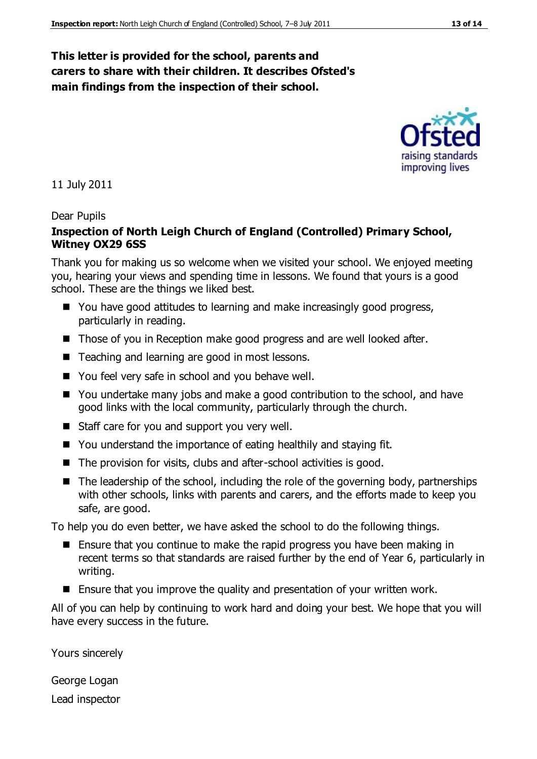#### **This letter is provided for the school, parents and carers to share with their children. It describes Ofsted's main findings from the inspection of their school.**

11 July 2011

#### Dear Pupils

#### **Inspection of North Leigh Church of England (Controlled) Primary School, Witney OX29 6SS**

Thank you for making us so welcome when we visited your school. We enjoyed meeting you, hearing your views and spending time in lessons. We found that yours is a good school. These are the things we liked best.

- You have good attitudes to learning and make increasingly good progress, particularly in reading.
- Those of you in Reception make good progress and are well looked after.
- Teaching and learning are good in most lessons.
- You feel very safe in school and you behave well.
- You undertake many jobs and make a good contribution to the school, and have good links with the local community, particularly through the church.
- Staff care for you and support you very well.
- You understand the importance of eating healthily and staying fit.
- $\blacksquare$  The provision for visits, clubs and after-school activities is good.
- $\blacksquare$  The leadership of the school, including the role of the governing body, partnerships with other schools, links with parents and carers, and the efforts made to keep you safe, are good.

To help you do even better, we have asked the school to do the following things.

- Ensure that you continue to make the rapid progress you have been making in recent terms so that standards are raised further by the end of Year 6, particularly in writing.
- **E** Ensure that you improve the quality and presentation of your written work.

All of you can help by continuing to work hard and doing your best. We hope that you will have every success in the future.

Yours sincerely

George Logan Lead inspector